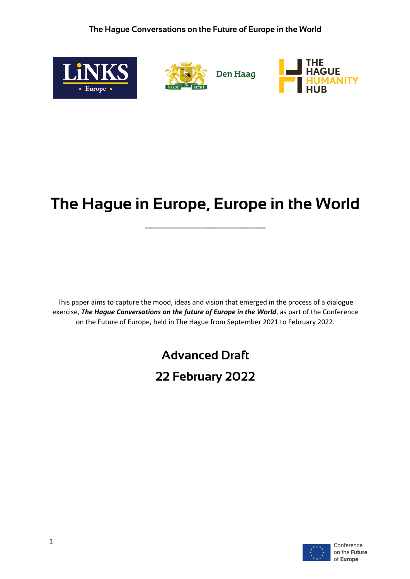

# **The Hague in Europe, Europe in the World**

**\_\_\_\_\_\_\_\_\_\_\_\_\_\_\_\_\_\_\_\_\_\_\_\_\_\_\_\_\_\_\_\_**

This paper aims to capture the mood, ideas and vision that emerged in the process of a dialogue exercise, *The Hague Conversations on the future of Europe in the World*, as part of the Conference on the Future of Europe, held in The Hague from September 2021 to February 2022.

# **Advanced Draft**

# **22 February 2022**

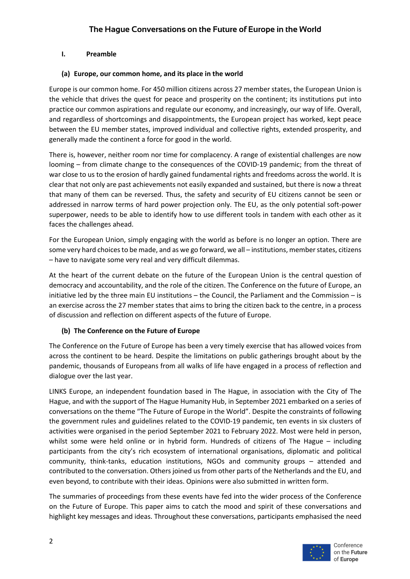#### **I. Preamble**

#### **(a) Europe, our common home, and its place in the world**

Europe is our common home. For 450 million citizens across 27 member states, the European Union is the vehicle that drives the quest for peace and prosperity on the continent; its institutions put into practice our common aspirations and regulate our economy, and increasingly, our way of life. Overall, and regardless of shortcomings and disappointments, the European project has worked, kept peace between the EU member states, improved individual and collective rights, extended prosperity, and generally made the continent a force for good in the world.

There is, however, neither room nor time for complacency. A range of existential challenges are now looming – from climate change to the consequences of the COVID-19 pandemic; from the threat of war close to us to the erosion of hardly gained fundamental rights and freedoms across the world. It is clear that not only are past achievements not easily expanded and sustained, but there is now a threat that many of them can be reversed. Thus, the safety and security of EU citizens cannot be seen or addressed in narrow terms of hard power projection only. The EU, as the only potential soft-power superpower, needs to be able to identify how to use different tools in tandem with each other as it faces the challenges ahead.

For the European Union, simply engaging with the world as before is no longer an option. There are some very hard choices to be made, and as we go forward, we all – institutions, member states, citizens – have to navigate some very real and very difficult dilemmas.

At the heart of the current debate on the future of the European Union is the central question of democracy and accountability, and the role of the citizen. The Conference on the future of Europe, an initiative led by the three main EU institutions – the Council, the Parliament and the Commission – is an exercise across the 27 member states that aims to bring the citizen back to the centre, in a process of discussion and reflection on different aspects of the future of Europe.

# **(b) The Conference on the Future of Europe**

The Conference on the Future of Europe has been a very timely exercise that has allowed voices from across the continent to be heard. Despite the limitations on public gatherings brought about by the pandemic, thousands of Europeans from all walks of life have engaged in a process of reflection and dialogue over the last year.

LINKS Europe, an independent foundation based in The Hague, in association with the City of The Hague, and with the support of The Hague Humanity Hub, in September 2021 embarked on a series of conversations on the theme "The Future of Europe in the World". Despite the constraints of following the government rules and guidelines related to the COVID-19 pandemic, ten events in six clusters of activities were organised in the period September 2021 to February 2022. Most were held in person, whilst some were held online or in hybrid form. Hundreds of citizens of The Hague – including participants from the city's rich ecosystem of international organisations, diplomatic and political community, think-tanks, education institutions, NGOs and community groups – attended and contributed to the conversation. Others joined us from other parts of the Netherlands and the EU, and even beyond, to contribute with their ideas. Opinions were also submitted in written form.

The summaries of proceedings from these events have fed into the wider process of the Conference on the Future of Europe. This paper aims to catch the mood and spirit of these conversations and highlight key messages and ideas. Throughout these conversations, participants emphasised the need

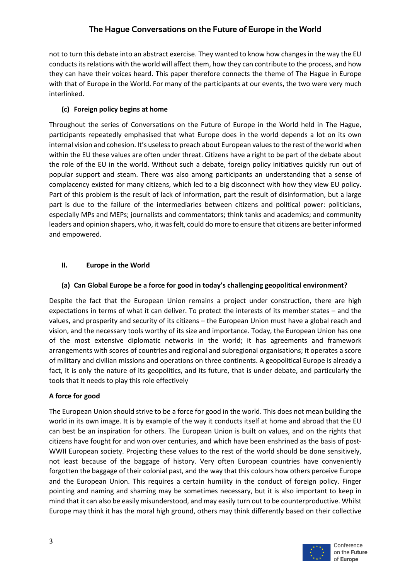not to turn this debate into an abstract exercise. They wanted to know how changes in the way the EU conducts its relations with the world will affect them, how they can contribute to the process, and how they can have their voices heard. This paper therefore connects the theme of The Hague in Europe with that of Europe in the World. For many of the participants at our events, the two were very much interlinked.

# **(c) Foreign policy begins at home**

Throughout the series of Conversations on the Future of Europe in the World held in The Hague, participants repeatedly emphasised that what Europe does in the world depends a lot on its own internal vision and cohesion. It's useless to preach about European values to the rest of the world when within the EU these values are often under threat. Citizens have a right to be part of the debate about the role of the EU in the world. Without such a debate, foreign policy initiatives quickly run out of popular support and steam. There was also among participants an understanding that a sense of complacency existed for many citizens, which led to a big disconnect with how they view EU policy. Part of this problem is the result of lack of information, part the result of disinformation, but a large part is due to the failure of the intermediaries between citizens and political power: politicians, especially MPs and MEPs; journalists and commentators; think tanks and academics; and community leaders and opinion shapers, who, it was felt, could do more to ensure that citizens are better informed and empowered.

# **II. Europe in the World**

# **(a) Can Global Europe be a force for good in today's challenging geopolitical environment?**

Despite the fact that the European Union remains a project under construction, there are high expectations in terms of what it can deliver. To protect the interests of its member states – and the values, and prosperity and security of its citizens – the European Union must have a global reach and vision, and the necessary tools worthy of its size and importance. Today, the European Union has one of the most extensive diplomatic networks in the world; it has agreements and framework arrangements with scores of countries and regional and subregional organisations; it operates a score of military and civilian missions and operations on three continents. A geopolitical Europe is already a fact, it is only the nature of its geopolitics, and its future, that is under debate, and particularly the tools that it needs to play this role effectively

# **A force for good**

The European Union should strive to be a force for good in the world. This does not mean building the world in its own image. It is by example of the way it conducts itself at home and abroad that the EU can best be an inspiration for others. The European Union is built on values, and on the rights that citizens have fought for and won over centuries, and which have been enshrined as the basis of post-WWII European society. Projecting these values to the rest of the world should be done sensitively, not least because of the baggage of history. Very often European countries have conveniently forgotten the baggage of their colonial past, and the way that this colours how others perceive Europe and the European Union. This requires a certain humility in the conduct of foreign policy. Finger pointing and naming and shaming may be sometimes necessary, but it is also important to keep in mind that it can also be easily misunderstood, and may easily turn out to be counterproductive. Whilst Europe may think it has the moral high ground, others may think differently based on their collective

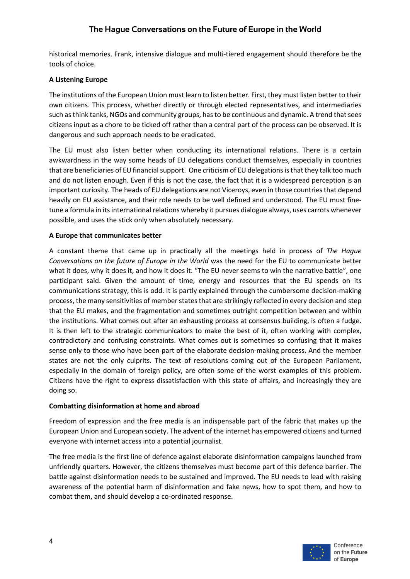historical memories. Frank, intensive dialogue and multi-tiered engagement should therefore be the tools of choice.

#### **A Listening Europe**

The institutions of the European Union must learn to listen better. First, they must listen better to their own citizens. This process, whether directly or through elected representatives, and intermediaries such as think tanks, NGOs and community groups, has to be continuous and dynamic. A trend that sees citizens input as a chore to be ticked off rather than a central part of the process can be observed. It is dangerous and such approach needs to be eradicated.

The EU must also listen better when conducting its international relations. There is a certain awkwardness in the way some heads of EU delegations conduct themselves, especially in countries that are beneficiaries of EU financial support. One criticism of EU delegations is that they talk too much and do not listen enough. Even if this is not the case, the fact that it is a widespread perception is an important curiosity. The heads of EU delegations are not Viceroys, even in those countries that depend heavily on EU assistance, and their role needs to be well defined and understood. The EU must finetune a formula in its international relations whereby it pursues dialogue always, uses carrots whenever possible, and uses the stick only when absolutely necessary.

#### **A Europe that communicates better**

A constant theme that came up in practically all the meetings held in process of *The Hague Conversations on the future of Europe in the World* was the need for the EU to communicate better what it does, why it does it, and how it does it. "The EU never seems to win the narrative battle", one participant said. Given the amount of time, energy and resources that the EU spends on its communications strategy, this is odd. It is partly explained through the cumbersome decision-making process, the many sensitivities of member states that are strikingly reflected in every decision and step that the EU makes, and the fragmentation and sometimes outright competition between and within the institutions. What comes out after an exhausting process at consensus building, is often a fudge. It is then left to the strategic communicators to make the best of it, often working with complex, contradictory and confusing constraints. What comes out is sometimes so confusing that it makes sense only to those who have been part of the elaborate decision-making process. And the member states are not the only culprits. The text of resolutions coming out of the European Parliament, especially in the domain of foreign policy, are often some of the worst examples of this problem. Citizens have the right to express dissatisfaction with this state of affairs, and increasingly they are doing so.

#### **Combatting disinformation at home and abroad**

Freedom of expression and the free media is an indispensable part of the fabric that makes up the European Union and European society. The advent of the internet has empowered citizens and turned everyone with internet access into a potential journalist.

The free media is the first line of defence against elaborate disinformation campaigns launched from unfriendly quarters. However, the citizens themselves must become part of this defence barrier. The battle against disinformation needs to be sustained and improved. The EU needs to lead with raising awareness of the potential harm of disinformation and fake news, how to spot them, and how to combat them, and should develop a co-ordinated response.

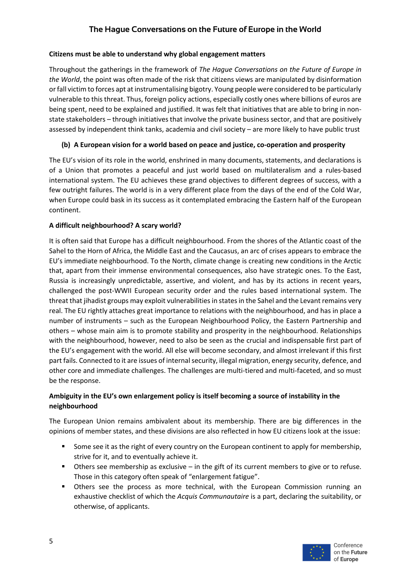#### **Citizens must be able to understand why global engagement matters**

Throughout the gatherings in the framework of *The Hague Conversations on the Future of Europe in the World*, the point was often made of the risk that citizens views are manipulated by disinformation orfall victim to forces apt at instrumentalising bigotry. Young people were considered to be particularly vulnerable to this threat. Thus, foreign policy actions, especially costly ones where billions of euros are being spent, need to be explained and justified. It was felt that initiatives that are able to bring in nonstate stakeholders – through initiatives that involve the private business sector, and that are positively assessed by independent think tanks, academia and civil society – are more likely to have public trust

# **(b) A European vision for a world based on peace and justice, co-operation and prosperity**

The EU's vision of its role in the world, enshrined in many documents, statements, and declarations is of a Union that promotes a peaceful and just world based on multilateralism and a rules-based international system. The EU achieves these grand objectives to different degrees of success, with a few outright failures. The world is in a very different place from the days of the end of the Cold War, when Europe could bask in its success as it contemplated embracing the Eastern half of the European continent.

# **A difficult neighbourhood? A scary world?**

It is often said that Europe has a difficult neighbourhood. From the shores of the Atlantic coast of the Sahel to the Horn of Africa, the Middle East and the Caucasus, an arc of crises appears to embrace the EU's immediate neighbourhood. To the North, climate change is creating new conditions in the Arctic that, apart from their immense environmental consequences, also have strategic ones. To the East, Russia is increasingly unpredictable, assertive, and violent, and has by its actions in recent years, challenged the post-WWII European security order and the rules based international system. The threat that jihadist groups may exploit vulnerabilities in states in the Sahel and the Levant remains very real. The EU rightly attaches great importance to relations with the neighbourhood, and has in place a number of instruments – such as the European Neighbourhood Policy, the Eastern Partnership and others – whose main aim is to promote stability and prosperity in the neighbourhood. Relationships with the neighbourhood, however, need to also be seen as the crucial and indispensable first part of the EU's engagement with the world. All else will become secondary, and almost irrelevant if this first part fails. Connected to it are issues of internal security, illegal migration, energy security, defence, and other core and immediate challenges. The challenges are multi-tiered and multi-faceted, and so must be the response.

# **Ambiguity in the EU's own enlargement policy is itself becoming a source of instability in the neighbourhood**

The European Union remains ambivalent about its membership. There are big differences in the opinions of member states, and these divisions are also reflected in how EU citizens look at the issue:

- Some see it as the right of every country on the European continent to apply for membership, strive for it, and to eventually achieve it.
- **•** Others see membership as exclusive in the gift of its current members to give or to refuse. Those in this category often speak of "enlargement fatigue".
- § Others see the process as more technical, with the European Commission running an exhaustive checklist of which the *Acquis Communautaire* is a part, declaring the suitability, or otherwise, of applicants.

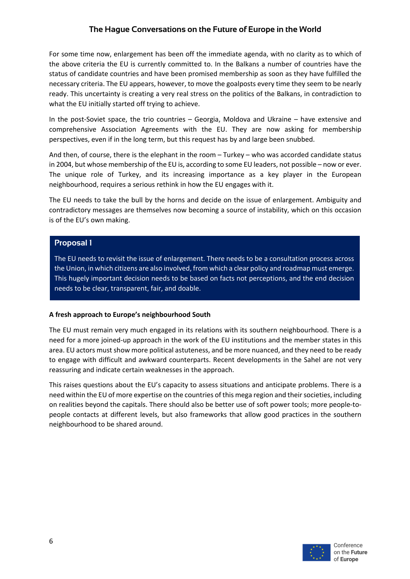For some time now, enlargement has been off the immediate agenda, with no clarity as to which of the above criteria the EU is currently committed to. In the Balkans a number of countries have the status of candidate countries and have been promised membership as soon as they have fulfilled the necessary criteria. The EU appears, however, to move the goalposts every time they seem to be nearly ready. This uncertainty is creating a very real stress on the politics of the Balkans, in contradiction to what the EU initially started off trying to achieve.

In the post-Soviet space, the trio countries – Georgia, Moldova and Ukraine – have extensive and comprehensive Association Agreements with the EU. They are now asking for membership perspectives, even if in the long term, but this request has by and large been snubbed.

And then, of course, there is the elephant in the room – Turkey – who was accorded candidate status in 2004, but whose membership of the EU is, according to some EU leaders, not possible – now or ever. The unique role of Turkey, and its increasing importance as a key player in the European neighbourhood, requires a serious rethink in how the EU engages with it.

The EU needs to take the bull by the horns and decide on the issue of enlargement. Ambiguity and contradictory messages are themselves now becoming a source of instability, which on this occasion is of the EU's own making.

#### **Proposal 1**

The EU needs to revisit the issue of enlargement. There needs to be a consultation process across the Union, in which citizens are also involved, from which a clear policy and roadmap must emerge. This hugely important decision needs to be based on facts not perceptions, and the end decision needs to be clear, transparent, fair, and doable.

#### **A fresh approach to Europe's neighbourhood South**

The EU must remain very much engaged in its relations with its southern neighbourhood. There is a need for a more joined-up approach in the work of the EU institutions and the member states in this area. EU actors must show more political astuteness, and be more nuanced, and they need to be ready to engage with difficult and awkward counterparts. Recent developments in the Sahel are not very reassuring and indicate certain weaknesses in the approach.

This raises questions about the EU's capacity to assess situations and anticipate problems. There is a need within the EU of more expertise on the countries of this mega region and their societies, including on realities beyond the capitals. There should also be better use of soft power tools; more people-topeople contacts at different levels, but also frameworks that allow good practices in the southern neighbourhood to be shared around.

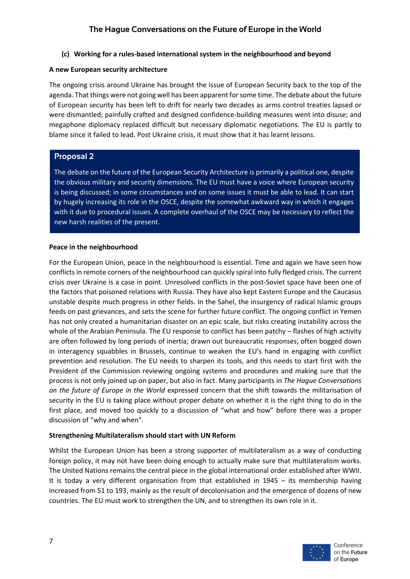#### **(c) Working for a rules-based international system in the neighbourhood and beyond**

#### **A new European security architecture**

The ongoing crisis around Ukraine has brought the issue of European Security back to the top of the agenda. That things were not going well has been apparent for some time. The debate about the future of European security has been left to drift for nearly two decades as arms control treaties lapsed or were dismantled; painfully crafted and designed confidence-building measures went into disuse; and megaphone diplomacy replaced difficult but necessary diplomatic negotiations. The EU is partly to blame since it failed to lead. Post Ukraine crisis, it must show that it has learnt lessons.

# **Proposal 2**

The debate on the future of the European Security Architecture is primarily a political one, despite the obvious military and security dimensions. The EU must have a voice where European security is being discussed; in some circumstances and on some issues it must be able to lead. It can start by hugely increasing its role in the OSCE, despite the somewhat awkward way in which it engages with it due to procedural issues. A complete overhaul of the OSCE may be necessary to reflect the new harsh realities of the present.

#### **Peace in the neighbourhood**

For the European Union, peace in the neighbourhood is essential. Time and again we have seen how conflicts in remote corners of the neighbourhood can quickly spiral into fully fledged crisis. The current crisis over Ukraine is a case in point. Unresolved conflicts in the post-Soviet space have been one of the factors that poisoned relations with Russia. They have also kept Eastern Europe and the Caucasus unstable despite much progress in other fields. In the Sahel, the insurgency of radical Islamic groups feeds on past grievances, and sets the scene for further future conflict. The ongoing conflict in Yemen has not only created a humanitarian disaster on an epic scale, but risks creating instability across the whole of the Arabian Peninsula. The EU response to conflict has been patchy – flashes of high activity are often followed by long periods of inertia; drawn out bureaucratic responses, often bogged down in interagency squabbles in Brussels, continue to weaken the EU's hand in engaging with conflict prevention and resolution. The EU needs to sharpen its tools, and this needs to start first with the President of the Commission reviewing ongoing systems and procedures and making sure that the process is not only joined up on paper, but also in fact. Many participants in *The Hague Conversations on the future of Europe in the World* expressed concern that the shift towards the militarisation of security in the EU is taking place without proper debate on whether it is the right thing to do in the first place, and moved too quickly to a discussion of "what and how" before there was a proper discussion of "why and when".

# **Strengthening Multilateralism should start with UN Reform**

Whilst the European Union has been a strong supporter of multilateralism as a way of conducting foreign policy, it may not have been doing enough to actually make sure that multilateralism works. The United Nations remains the central piece in the global international order established after WWII. It is today a very different organisation from that established in 1945 – its membership having increased from 51 to 193, mainly as the result of decolonisation and the emergence of dozens of new countries. The EU must work to strengthen the UN, and to strengthen its own role in it.

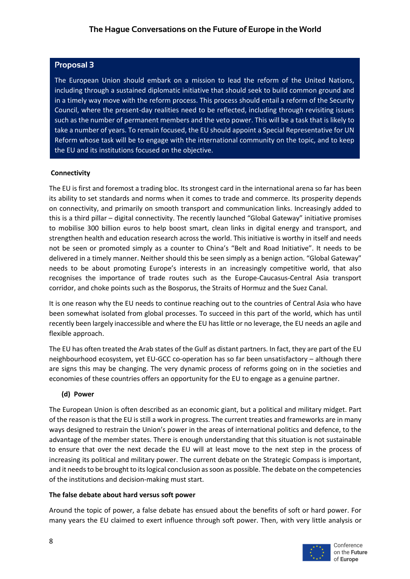# **Proposal 3**

The European Union should embark on a mission to lead the reform of the United Nations, including through a sustained diplomatic initiative that should seek to build common ground and in a timely way move with the reform process. This process should entail a reform of the Security Council, where the present-day realities need to be reflected, including through revisiting issues such as the number of permanent members and the veto power. This will be a task that is likely to take a number of years. To remain focused, the EU should appoint a Special Representative for UN Reform whose task will be to engage with the international community on the topic, and to keep the EU and its institutions focused on the objective.

#### **Connectivity**

The EU is first and foremost a trading bloc. Its strongest card in the international arena so far has been its ability to set standards and norms when it comes to trade and commerce. Its prosperity depends on connectivity, and primarily on smooth transport and communication links. Increasingly added to this is a third pillar – digital connectivity. The recently launched "Global Gateway" initiative promises to mobilise 300 billion euros to help boost smart, clean links in digital energy and transport, and strengthen health and education research across the world. This initiative is worthy in itself and needs not be seen or promoted simply as a counter to China's "Belt and Road Initiative". It needs to be delivered in a timely manner. Neither should this be seen simply as a benign action. "Global Gateway" needs to be about promoting Europe's interests in an increasingly competitive world, that also recognises the importance of trade routes such as the Europe-Caucasus-Central Asia transport corridor, and choke points such as the Bosporus, the Straits of Hormuz and the Suez Canal.

It is one reason why the EU needs to continue reaching out to the countries of Central Asia who have been somewhat isolated from global processes. To succeed in this part of the world, which has until recently been largely inaccessible and where the EU has little or no leverage, the EU needs an agile and flexible approach.

The EU has often treated the Arab states of the Gulf as distant partners. In fact, they are part of the EU neighbourhood ecosystem, yet EU-GCC co-operation has so far been unsatisfactory – although there are signs this may be changing. The very dynamic process of reforms going on in the societies and economies of these countries offers an opportunity for the EU to engage as a genuine partner.

# **(d) Power**

The European Union is often described as an economic giant, but a political and military midget. Part of the reason is that the EU is still a work in progress. The current treaties and frameworks are in many ways designed to restrain the Union's power in the areas of international politics and defence, to the advantage of the member states. There is enough understanding that this situation is not sustainable to ensure that over the next decade the EU will at least move to the next step in the process of increasing its political and military power. The current debate on the Strategic Compass is important, and it needs to be brought to its logical conclusion as soon as possible. The debate on the competencies of the institutions and decision-making must start.

#### **The false debate about hard versus soft power**

Around the topic of power, a false debate has ensued about the benefits of soft or hard power. For many years the EU claimed to exert influence through soft power. Then, with very little analysis or

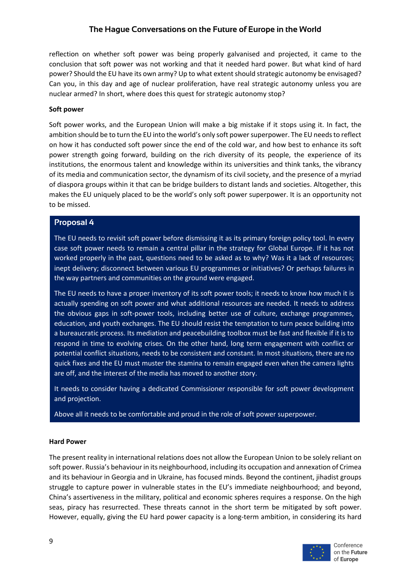reflection on whether soft power was being properly galvanised and projected, it came to the conclusion that soft power was not working and that it needed hard power. But what kind of hard power? Should the EU have its own army? Up to what extent should strategic autonomy be envisaged? Can you, in this day and age of nuclear proliferation, have real strategic autonomy unless you are nuclear armed? In short, where does this quest for strategic autonomy stop?

#### **Soft power**

Soft power works, and the European Union will make a big mistake if it stops using it. In fact, the ambition should be to turn the EU into the world's only soft power superpower. The EU needs to reflect on how it has conducted soft power since the end of the cold war, and how best to enhance its soft power strength going forward, building on the rich diversity of its people, the experience of its institutions, the enormous talent and knowledge within its universities and think tanks, the vibrancy of its media and communication sector, the dynamism of its civil society, and the presence of a myriad of diaspora groups within it that can be bridge builders to distant lands and societies. Altogether, this makes the EU uniquely placed to be the world's only soft power superpower. It is an opportunity not to be missed.

# **Proposal 4**

The EU needs to revisit soft power before dismissing it as its primary foreign policy tool. In every case soft power needs to remain a central pillar in the strategy for Global Europe. If it has not worked properly in the past, questions need to be asked as to why? Was it a lack of resources; inept delivery; disconnect between various EU programmes or initiatives? Or perhaps failures in the way partners and communities on the ground were engaged.

The EU needs to have a proper inventory of its soft power tools; it needs to know how much it is actually spending on soft power and what additional resources are needed. It needs to address the obvious gaps in soft-power tools, including better use of culture, exchange programmes, education, and youth exchanges. The EU should resist the temptation to turn peace building into a bureaucratic process. Its mediation and peacebuilding toolbox must be fast and flexible if it is to respond in time to evolving crises. On the other hand, long term engagement with conflict or potential conflict situations, needs to be consistent and constant. In most situations, there are no quick fixes and the EU must muster the stamina to remain engaged even when the camera lights are off, and the interest of the media has moved to another story.

It needs to consider having a dedicated Commissioner responsible for soft power development and projection.

Above all it needs to be comfortable and proud in the role of soft power superpower.

#### **Hard Power**

The present reality in international relations does not allow the European Union to be solely reliant on soft power. Russia's behaviour in its neighbourhood, including its occupation and annexation of Crimea and its behaviour in Georgia and in Ukraine, has focused minds. Beyond the continent, jihadist groups struggle to capture power in vulnerable states in the EU's immediate neighbourhood; and beyond, China's assertiveness in the military, political and economic spheres requires a response. On the high seas, piracy has resurrected. These threats cannot in the short term be mitigated by soft power. However, equally, giving the EU hard power capacity is a long-term ambition, in considering its hard

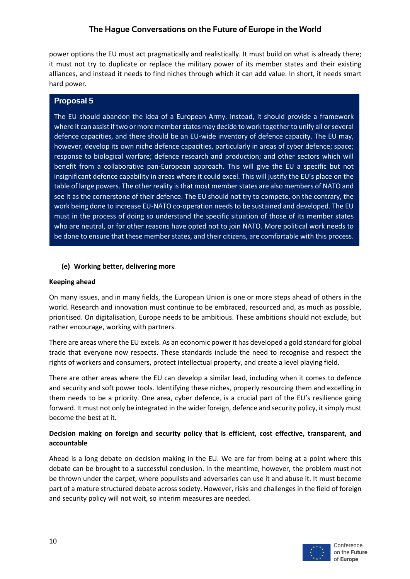power options the EU must act pragmatically and realistically. It must build on what is already there; it must not try to duplicate or replace the military power of its member states and their existing alliances, and instead it needs to find niches through which it can add value. In short, it needs smart hard power.

# **Proposal 5**

The EU should abandon the idea of a European Army. Instead, it should provide a framework where it can assist if two or more member states may decide to work together to unify all or several defence capacities, and there should be an EU-wide inventory of defence capacity. The EU may, however, develop its own niche defence capacities, particularly in areas of cyber defence; space; response to biological warfare; defence research and production; and other sectors which will benefit from a collaborative pan-European approach. This will give the EU a specific but not insignificant defence capability in areas where it could excel. This will justify the EU's place on the table of large powers. The other reality is that most member states are also members of NATO and see it as the cornerstone of their defence. The EU should not try to compete, on the contrary, the work being done to increase EU-NATO co-operation needs to be sustained and developed. The EU must in the process of doing so understand the specific situation of those of its member states who are neutral, or for other reasons have opted not to join NATO. More political work needs to be done to ensure that these member states, and their citizens, are comfortable with this process.

#### **(e) Working better, delivering more**

#### **Keeping ahead**

On many issues, and in many fields, the European Union is one or more steps ahead of others in the world. Research and innovation must continue to be embraced, resourced and, as much as possible, prioritised. On digitalisation, Europe needs to be ambitious. These ambitions should not exclude, but rather encourage, working with partners.

There are areas where the EU excels. As an economic power it has developed a gold standard for global trade that everyone now respects. These standards include the need to recognise and respect the rights of workers and consumers, protect intellectual property, and create a level playing field.

There are other areas where the EU can develop a similar lead, including when it comes to defence and security and soft power tools. Identifying these niches, properly resourcing them and excelling in them needs to be a priority. One area, cyber defence, is a crucial part of the EU's resilience going forward. It must not only be integrated in the wider foreign, defence and security policy, it simply must become the best at it.

# **Decision making on foreign and security policy that is efficient, cost effective, transparent, and accountable**

Ahead is a long debate on decision making in the EU. We are far from being at a point where this debate can be brought to a successful conclusion. In the meantime, however, the problem must not be thrown under the carpet, where populists and adversaries can use it and abuse it. It must become part of a mature structured debate across society. However, risks and challenges in the field of foreign and security policy will not wait, so interim measures are needed.

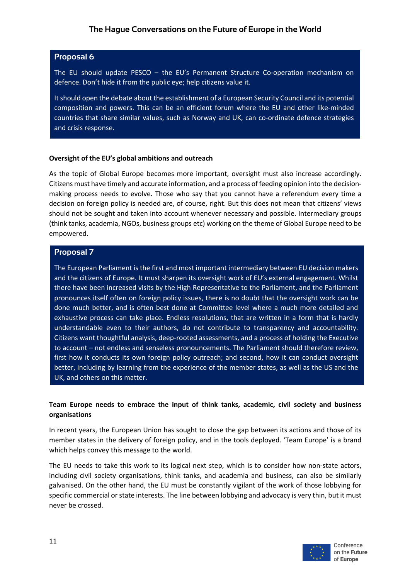## **Proposal 6**

The EU should update PESCO – the EU's Permanent Structure Co-operation mechanism on defence. Don't hide it from the public eye; help citizens value it.

It should open the debate about the establishment of a European Security Council and its potential composition and powers. This can be an efficient forum where the EU and other like-minded countries that share similar values, such as Norway and UK, can co-ordinate defence strategies and crisis response.

#### **Oversight of the EU's global ambitions and outreach**

As the topic of Global Europe becomes more important, oversight must also increase accordingly. Citizens must have timely and accurate information, and a process of feeding opinion into the decisionmaking process needs to evolve. Those who say that you cannot have a referendum every time a decision on foreign policy is needed are, of course, right. But this does not mean that citizens' views should not be sought and taken into account whenever necessary and possible. Intermediary groups (think tanks, academia, NGOs, business groups etc) working on the theme of Global Europe need to be empowered.

#### **Proposal 7**

The European Parliament is the first and most important intermediary between EU decision makers and the citizens of Europe. It must sharpen its oversight work of EU's external engagement. Whilst there have been increased visits by the High Representative to the Parliament, and the Parliament pronounces itself often on foreign policy issues, there is no doubt that the oversight work can be done much better, and is often best done at Committee level where a much more detailed and exhaustive process can take place. Endless resolutions, that are written in a form that is hardly understandable even to their authors, do not contribute to transparency and accountability. Citizens want thoughtful analysis, deep-rooted assessments, and a process of holding the Executive to account – not endless and senseless pronouncements. The Parliament should therefore review, first how it conducts its own foreign policy outreach; and second, how it can conduct oversight better, including by learning from the experience of the member states, as well as the US and the UK, and others on this matter.

# **Team Europe needs to embrace the input of think tanks, academic, civil society and business organisations**

In recent years, the European Union has sought to close the gap between its actions and those of its member states in the delivery of foreign policy, and in the tools deployed. 'Team Europe' is a brand which helps convey this message to the world.

The EU needs to take this work to its logical next step, which is to consider how non-state actors, including civil society organisations, think tanks, and academia and business, can also be similarly galvanised. On the other hand, the EU must be constantly vigilant of the work of those lobbying for specific commercial or state interests. The line between lobbying and advocacy is very thin, but it must never be crossed.

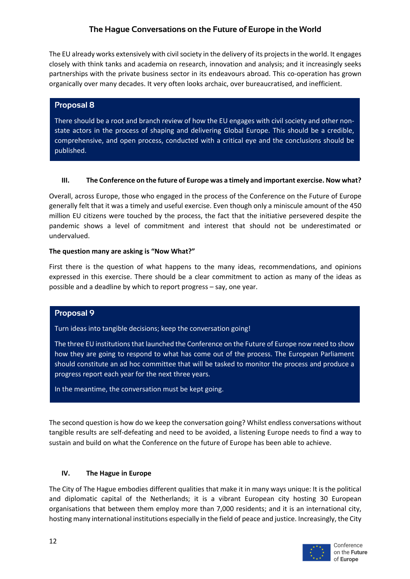The EU already works extensively with civil society in the delivery of its projects in the world. It engages closely with think tanks and academia on research, innovation and analysis; and it increasingly seeks partnerships with the private business sector in its endeavours abroad. This co-operation has grown organically over many decades. It very often looks archaic, over bureaucratised, and inefficient.

# **Proposal 8**

There should be a root and branch review of how the EU engages with civil society and other nonstate actors in the process of shaping and delivering Global Europe. This should be a credible, comprehensive, and open process, conducted with a critical eye and the conclusions should be published.

#### **III. The Conference on the future of Europe was a timely and important exercise. Now what?**

Overall, across Europe, those who engaged in the process of the Conference on the Future of Europe generally felt that it was a timely and useful exercise. Even though only a miniscule amount of the 450 million EU citizens were touched by the process, the fact that the initiative persevered despite the pandemic shows a level of commitment and interest that should not be underestimated or undervalued.

#### **The question many are asking is "Now What?"**

First there is the question of what happens to the many ideas, recommendations, and opinions expressed in this exercise. There should be a clear commitment to action as many of the ideas as possible and a deadline by which to report progress – say, one year.

# **Proposal 9**

Turn ideas into tangible decisions; keep the conversation going!

The three EU institutions that launched the Conference on the Future of Europe now need to show how they are going to respond to what has come out of the process. The European Parliament should constitute an ad hoc committee that will be tasked to monitor the process and produce a progress report each year for the next three years.

In the meantime, the conversation must be kept going.

The second question is how do we keep the conversation going? Whilst endless conversations without tangible results are self-defeating and need to be avoided, a listening Europe needs to find a way to sustain and build on what the Conference on the future of Europe has been able to achieve.

# **IV. The Hague in Europe**

The City of The Hague embodies different qualities that make it in many ways unique: It is the political and diplomatic capital of the Netherlands; it is a vibrant European city hosting 30 European organisations that between them employ more than 7,000 residents; and it is an international city, hosting many international institutions especially in the field of peace and justice. Increasingly, the City

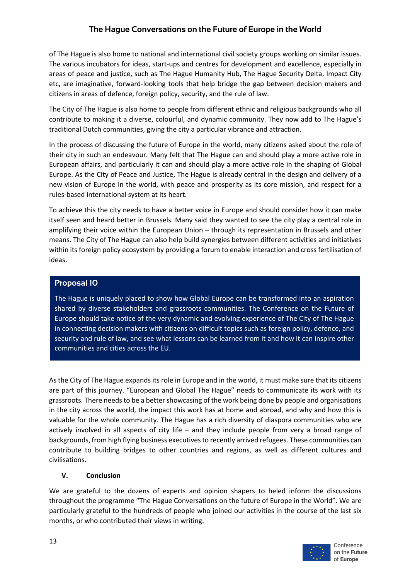of The Hague is also home to national and international civil society groups working on similar issues. The various incubators for ideas, start-ups and centres for development and excellence, especially in areas of peace and justice, such as The Hague Humanity Hub, The Hague Security Delta, Impact City etc, are imaginative, forward-looking tools that help bridge the gap between decision makers and citizens in areas of defence, foreign policy, security, and the rule of law.

The City of The Hague is also home to people from different ethnic and religious backgrounds who all contribute to making it a diverse, colourful, and dynamic community. They now add to The Hague's traditional Dutch communities, giving the city a particular vibrance and attraction.

In the process of discussing the future of Europe in the world, many citizens asked about the role of their city in such an endeavour. Many felt that The Hague can and should play a more active role in European affairs, and particularly it can and should play a more active role in the shaping of Global Europe. As the City of Peace and Justice, The Hague is already central in the design and delivery of a new vision of Europe in the world, with peace and prosperity as its core mission, and respect for a rules-based international system at its heart.

To achieve this the city needs to have a better voice in Europe and should consider how it can make itself seen and heard better in Brussels. Many said they wanted to see the city play a central role in amplifying their voice within the European Union – through its representation in Brussels and other means. The City of The Hague can also help build synergies between different activities and initiatives within its foreign policy ecosystem by providing a forum to enable interaction and cross fertilisation of ideas.

# **Proposal 10**

The Hague is uniquely placed to show how Global Europe can be transformed into an aspiration shared by diverse stakeholders and grassroots communities. The Conference on the Future of Europe should take notice of the very dynamic and evolving experience of The City of The Hague in connecting decision makers with citizens on difficult topics such as foreign policy, defence, and security and rule of law, and see what lessons can be learned from it and how it can inspire other communities and cities across the EU.

As the City of The Hague expands its role in Europe and in the world, it must make sure that its citizens are part of this journey. "European and Global The Hague" needs to communicate its work with its grassroots. There needs to be a better showcasing of the work being done by people and organisations in the city across the world, the impact this work has at home and abroad, and why and how this is valuable for the whole community. The Hague has a rich diversity of diaspora communities who are actively involved in all aspects of city life – and they include people from very a broad range of backgrounds, from high flying business executives to recently arrived refugees. These communities can contribute to building bridges to other countries and regions, as well as different cultures and civilisations.

# **V. Conclusion**

We are grateful to the dozens of experts and opinion shapers to heled inform the discussions throughout the programme "The Hague Conversations on the future of Europe in the World". We are particularly grateful to the hundreds of people who joined our activities in the course of the last six months, or who contributed their views in writing.

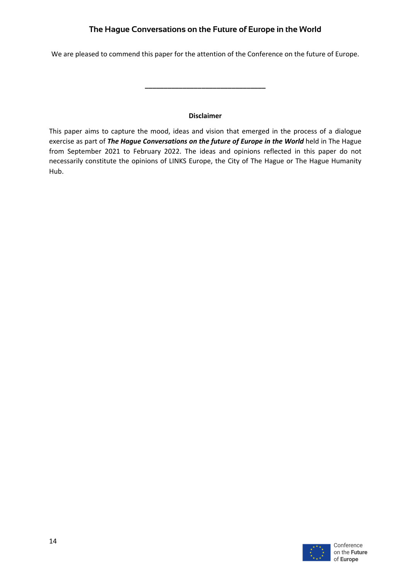We are pleased to commend this paper for the attention of the Conference on the future of Europe.

#### **Disclaimer**

**\_\_\_\_\_\_\_\_\_\_\_\_\_\_\_\_\_\_\_\_\_\_\_\_\_\_\_\_\_\_\_\_**

This paper aims to capture the mood, ideas and vision that emerged in the process of a dialogue exercise as part of *The Hague Conversations on the future of Europe in the World* held in The Hague from September 2021 to February 2022. The ideas and opinions reflected in this paper do not necessarily constitute the opinions of LINKS Europe, the City of The Hague or The Hague Humanity Hub.

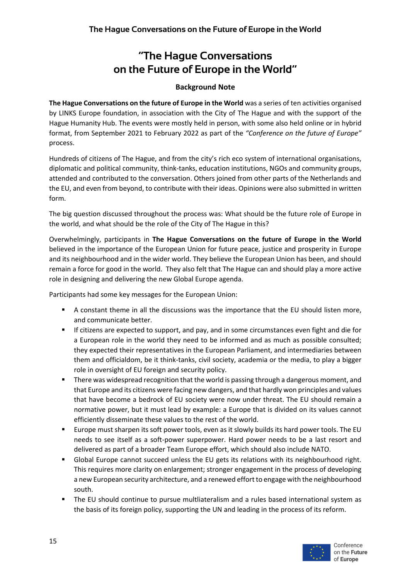# **Background Note**

**The Hague Conversations on the future of Europe in the World** was a series of ten activities organised by LINKS Europe foundation, in association with the City of The Hague and with the support of the Hague Humanity Hub. The events were mostly held in person, with some also held online or in hybrid format, from September 2021 to February 2022 as part of the *"Conference on the future of Europe"* process.

Hundreds of citizens of The Hague, and from the city's rich eco system of international organisations, diplomatic and political community, think-tanks, education institutions, NGOs and community groups, attended and contributed to the conversation. Others joined from other parts of the Netherlands and the EU, and even from beyond, to contribute with their ideas. Opinions were also submitted in written form.

The big question discussed throughout the process was: What should be the future role of Europe in the world, and what should be the role of the City of The Hague in this?

Overwhelmingly, participants in **The Hague Conversations on the future of Europe in the World** believed in the importance of the European Union for future peace, justice and prosperity in Europe and its neighbourhood and in the wider world. They believe the European Union has been, and should remain a force for good in the world. They also felt that The Hague can and should play a more active role in designing and delivering the new Global Europe agenda.

Participants had some key messages for the European Union:

- A constant theme in all the discussions was the importance that the EU should listen more, and communicate better.
- If citizens are expected to support, and pay, and in some circumstances even fight and die for a European role in the world they need to be informed and as much as possible consulted; they expected their representatives in the European Parliament, and intermediaries between them and officialdom, be it think-tanks, civil society, academia or the media, to play a bigger role in oversight of EU foreign and security policy.
- There was widespread recognition that the world is passing through a dangerous moment, and that Europe and its citizens were facing new dangers, and that hardly won principles and values that have become a bedrock of EU society were now under threat. The EU should remain a normative power, but it must lead by example: a Europe that is divided on its values cannot efficiently disseminate these values to the rest of the world.
- § Europe must sharpen its soft power tools, even as it slowly builds its hard power tools. The EU needs to see itself as a soft-power superpower. Hard power needs to be a last resort and delivered as part of a broader Team Europe effort, which should also include NATO.
- § Global Europe cannot succeed unless the EU gets its relations with its neighbourhood right. This requires more clarity on enlargement; stronger engagement in the process of developing a new European security architecture, and a renewed effort to engage with the neighbourhood south.
- § The EU should continue to pursue multliateralism and a rules based international system as the basis of its foreign policy, supporting the UN and leading in the process of its reform.